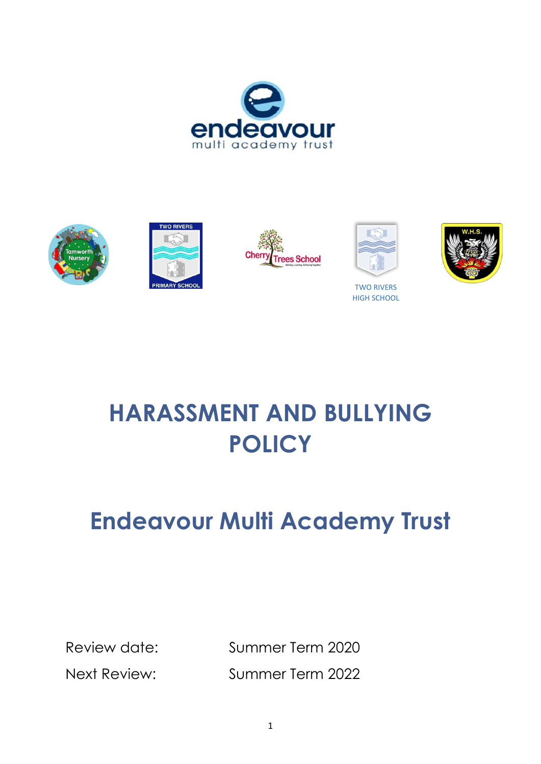









TWO RIVERS HIGH SCHOOL



# **HARASSMENT AND BULLYING POLICY**

## **Endeavour Multi Academy Trust**

Review date: Summer Term 2020 Next Review: Summer Term 2022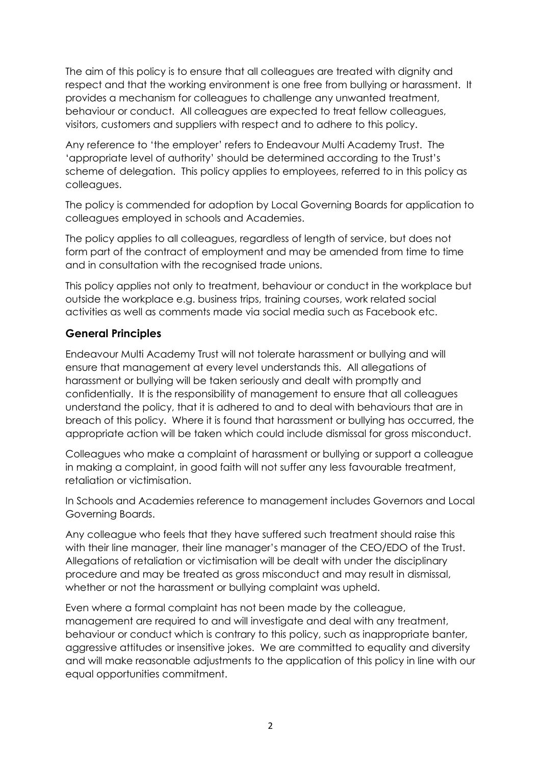The aim of this policy is to ensure that all colleagues are treated with dignity and respect and that the working environment is one free from bullying or harassment. It provides a mechanism for colleagues to challenge any unwanted treatment, behaviour or conduct. All colleagues are expected to treat fellow colleagues, visitors, customers and suppliers with respect and to adhere to this policy.

Any reference to 'the employer' refers to Endeavour Multi Academy Trust. The 'appropriate level of authority' should be determined according to the Trust's scheme of delegation. This policy applies to employees, referred to in this policy as colleagues.

The policy is commended for adoption by Local Governing Boards for application to colleagues employed in schools and Academies.

The policy applies to all colleagues, regardless of length of service, but does not form part of the contract of employment and may be amended from time to time and in consultation with the recognised trade unions.

This policy applies not only to treatment, behaviour or conduct in the workplace but outside the workplace e.g. business trips, training courses, work related social activities as well as comments made via social media such as Facebook etc.

#### **General Principles**

Endeavour Multi Academy Trust will not tolerate harassment or bullying and will ensure that management at every level understands this. All allegations of harassment or bullying will be taken seriously and dealt with promptly and confidentially. It is the responsibility of management to ensure that all colleagues understand the policy, that it is adhered to and to deal with behaviours that are in breach of this policy. Where it is found that harassment or bullying has occurred, the appropriate action will be taken which could include dismissal for gross misconduct.

Colleagues who make a complaint of harassment or bullying or support a colleague in making a complaint, in good faith will not suffer any less favourable treatment, retaliation or victimisation.

In Schools and Academies reference to management includes Governors and Local Governing Boards.

Any colleague who feels that they have suffered such treatment should raise this with their line manager, their line manager's manager of the CEO/EDO of the Trust. Allegations of retaliation or victimisation will be dealt with under the disciplinary procedure and may be treated as gross misconduct and may result in dismissal, whether or not the harassment or bullying complaint was upheld.

Even where a formal complaint has not been made by the colleague, management are required to and will investigate and deal with any treatment, behaviour or conduct which is contrary to this policy, such as inappropriate banter, aggressive attitudes or insensitive jokes. We are committed to equality and diversity and will make reasonable adjustments to the application of this policy in line with our equal opportunities commitment.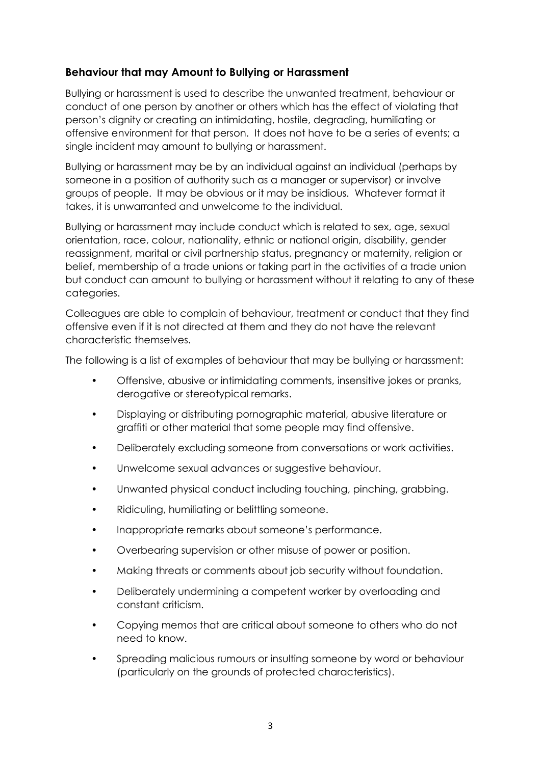### **Behaviour that may Amount to Bullying or Harassment**

Bullying or harassment is used to describe the unwanted treatment, behaviour or conduct of one person by another or others which has the effect of violating that person's dignity or creating an intimidating, hostile, degrading, humiliating or offensive environment for that person. It does not have to be a series of events; a single incident may amount to bullying or harassment.

Bullying or harassment may be by an individual against an individual (perhaps by someone in a position of authority such as a manager or supervisor) or involve groups of people. It may be obvious or it may be insidious. Whatever format it takes, it is unwarranted and unwelcome to the individual.

Bullying or harassment may include conduct which is related to sex, age, sexual orientation, race, colour, nationality, ethnic or national origin, disability, gender reassignment, marital or civil partnership status, pregnancy or maternity, religion or belief, membership of a trade unions or taking part in the activities of a trade union but conduct can amount to bullying or harassment without it relating to any of these categories.

Colleagues are able to complain of behaviour, treatment or conduct that they find offensive even if it is not directed at them and they do not have the relevant characteristic themselves.

The following is a list of examples of behaviour that may be bullying or harassment:

- Offensive, abusive or intimidating comments, insensitive jokes or pranks, derogative or stereotypical remarks.
- Displaying or distributing pornographic material, abusive literature or graffiti or other material that some people may find offensive.
- Deliberately excluding someone from conversations or work activities.
- Unwelcome sexual advances or suggestive behaviour.
- Unwanted physical conduct including touching, pinching, grabbing.
- Ridiculing, humiliating or belittling someone.
- Inappropriate remarks about someone's performance.
- Overbearing supervision or other misuse of power or position.
- Making threats or comments about job security without foundation.
- Deliberately undermining a competent worker by overloading and constant criticism.
- Copying memos that are critical about someone to others who do not need to know.
- Spreading malicious rumours or insulting someone by word or behaviour (particularly on the grounds of protected characteristics).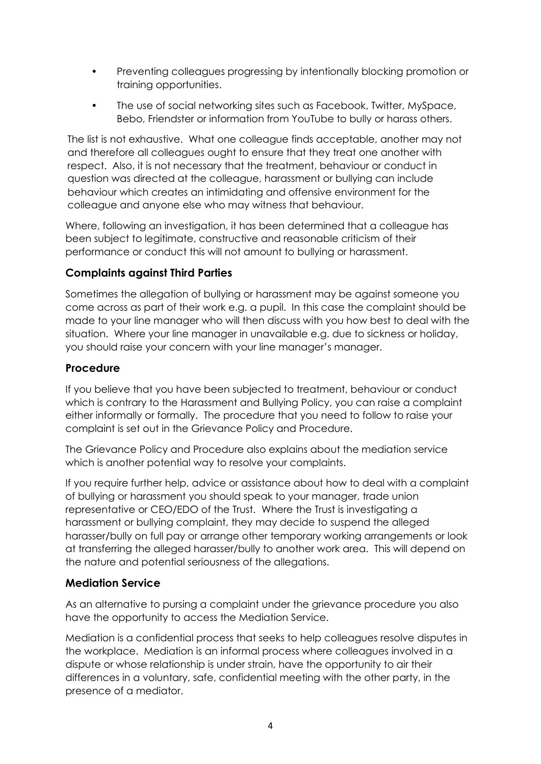- Preventing colleagues progressing by intentionally blocking promotion or training opportunities.
- The use of social networking sites such as Facebook, Twitter, MySpace, Bebo, Friendster or information from YouTube to bully or harass others.

The list is not exhaustive. What one colleague finds acceptable, another may not and therefore all colleagues ought to ensure that they treat one another with respect. Also, it is not necessary that the treatment, behaviour or conduct in question was directed at the colleague, harassment or bullying can include behaviour which creates an intimidating and offensive environment for the colleague and anyone else who may witness that behaviour.

Where, following an investigation, it has been determined that a colleague has been subject to legitimate, constructive and reasonable criticism of their performance or conduct this will not amount to bullying or harassment.

### **Complaints against Third Parties**

Sometimes the allegation of bullying or harassment may be against someone you come across as part of their work e.g. a pupil. In this case the complaint should be made to your line manager who will then discuss with you how best to deal with the situation. Where your line manager in unavailable e.g. due to sickness or holiday, you should raise your concern with your line manager's manager.

### **Procedure**

If you believe that you have been subjected to treatment, behaviour or conduct which is contrary to the Harassment and Bullying Policy, you can raise a complaint either informally or formally. The procedure that you need to follow to raise your complaint is set out in the Grievance Policy and Procedure.

The Grievance Policy and Procedure also explains about the mediation service which is another potential way to resolve your complaints.

If you require further help, advice or assistance about how to deal with a complaint of bullying or harassment you should speak to your manager, trade union representative or CEO/EDO of the Trust. Where the Trust is investigating a harassment or bullying complaint, they may decide to suspend the alleged harasser/bully on full pay or arrange other temporary working arrangements or look at transferring the alleged harasser/bully to another work area. This will depend on the nature and potential seriousness of the allegations.

#### **Mediation Service**

As an alternative to pursing a complaint under the grievance procedure you also have the opportunity to access the Mediation Service.

Mediation is a confidential process that seeks to help colleagues resolve disputes in the workplace. Mediation is an informal process where colleagues involved in a dispute or whose relationship is under strain, have the opportunity to air their differences in a voluntary, safe, confidential meeting with the other party, in the presence of a mediator.